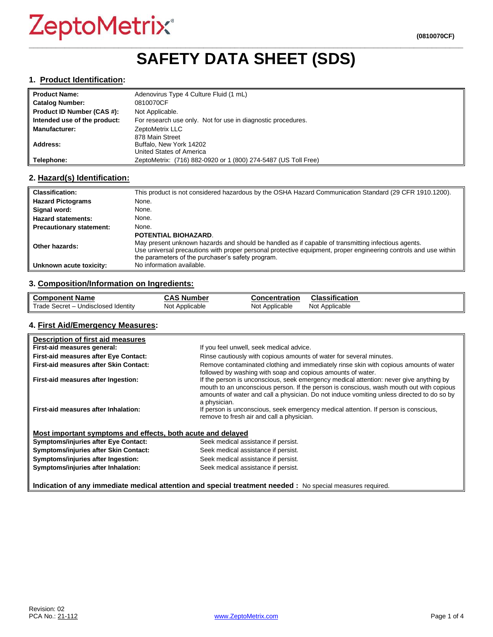### **\_\_\_\_\_\_\_\_\_\_\_\_\_\_\_\_\_\_\_\_\_\_\_\_\_\_\_\_\_\_\_\_\_\_\_\_\_\_\_\_\_\_\_\_\_\_\_\_\_\_\_\_\_\_\_\_\_\_\_\_\_\_\_\_\_\_\_\_\_\_\_\_\_\_\_\_\_\_\_\_\_\_\_\_\_\_\_\_\_\_\_\_\_\_\_\_\_ SAFETY DATA SHEET (SDS)**

#### **1. Product Identification:**

| <b>Product Name:</b>         | Adenovirus Type 4 Culture Fluid (1 mL)                         |
|------------------------------|----------------------------------------------------------------|
| <b>Catalog Number:</b>       | 0810070CF                                                      |
| Product ID Number (CAS #):   | Not Applicable.                                                |
| Intended use of the product: | For research use only. Not for use in diagnostic procedures.   |
| <b>Manufacturer:</b>         | ZeptoMetrix LLC                                                |
|                              | 878 Main Street                                                |
| Address:                     | Buffalo, New York 14202                                        |
|                              | United States of America                                       |
| Telephone:                   | ZeptoMetrix: (716) 882-0920 or 1 (800) 274-5487 (US Toll Free) |

### **2. Hazard(s) Identification:**

| <b>Classification:</b>          | This product is not considered hazardous by the OSHA Hazard Communication Standard (29 CFR 1910.1200).                                                                                                                                                                                                    |
|---------------------------------|-----------------------------------------------------------------------------------------------------------------------------------------------------------------------------------------------------------------------------------------------------------------------------------------------------------|
| <b>Hazard Pictograms</b>        | None.                                                                                                                                                                                                                                                                                                     |
| Signal word:                    | None.                                                                                                                                                                                                                                                                                                     |
| <b>Hazard statements:</b>       | None.                                                                                                                                                                                                                                                                                                     |
| <b>Precautionary statement:</b> | None.                                                                                                                                                                                                                                                                                                     |
| Other hazards:                  | <b>POTENTIAL BIOHAZARD.</b><br>May present unknown hazards and should be handled as if capable of transmitting infectious agents.<br>Use universal precautions with proper personal protective equipment, proper engineering controls and use within<br>the parameters of the purchaser's safety program. |
| Unknown acute toxicity:         | No information available.                                                                                                                                                                                                                                                                                 |

### **3. Composition/Information on Ingredients:**

| <b>Component Name</b>                               | $\ddot{\bullet}$<br>، Number<br>טמע | <b>Concentration</b> | Classification    |
|-----------------------------------------------------|-------------------------------------|----------------------|-------------------|
| Trade,<br>Undisclosed Identity<br>– Secret <i>-</i> | Not Applicable                      | Not Applicable       | Applicable<br>Not |

#### **4. First Aid/Emergency Measures:**

| Description of first aid measures                           |                                                                                                                                                                                                                                                                                                |
|-------------------------------------------------------------|------------------------------------------------------------------------------------------------------------------------------------------------------------------------------------------------------------------------------------------------------------------------------------------------|
| First-aid measures general:                                 | If you feel unwell, seek medical advice.                                                                                                                                                                                                                                                       |
| First-aid measures after Eye Contact:                       | Rinse cautiously with copious amounts of water for several minutes.                                                                                                                                                                                                                            |
| First-aid measures after Skin Contact:                      | Remove contaminated clothing and immediately rinse skin with copious amounts of water<br>followed by washing with soap and copious amounts of water.                                                                                                                                           |
| First-aid measures after Ingestion:                         | If the person is unconscious, seek emergency medical attention: never give anything by<br>mouth to an unconscious person. If the person is conscious, wash mouth out with copious<br>amounts of water and call a physician. Do not induce vomiting unless directed to do so by<br>a physician. |
| First-aid measures after Inhalation:                        | If person is unconscious, seek emergency medical attention. If person is conscious,<br>remove to fresh air and call a physician.                                                                                                                                                               |
| Most important symptoms and effects, both acute and delayed |                                                                                                                                                                                                                                                                                                |
| <b>Symptoms/injuries after Eye Contact:</b>                 | Seek medical assistance if persist.                                                                                                                                                                                                                                                            |
| Symptoms/injuries after Skin Contact:                       | Seek medical assistance if persist.                                                                                                                                                                                                                                                            |
| Symptoms/injuries after Ingestion:                          | Seek medical assistance if persist.                                                                                                                                                                                                                                                            |
| Symptoms/injuries after Inhalation:                         | Seek medical assistance if persist.                                                                                                                                                                                                                                                            |
|                                                             | Indication of any immediate medical attention and special treatment needed: No special measures required.                                                                                                                                                                                      |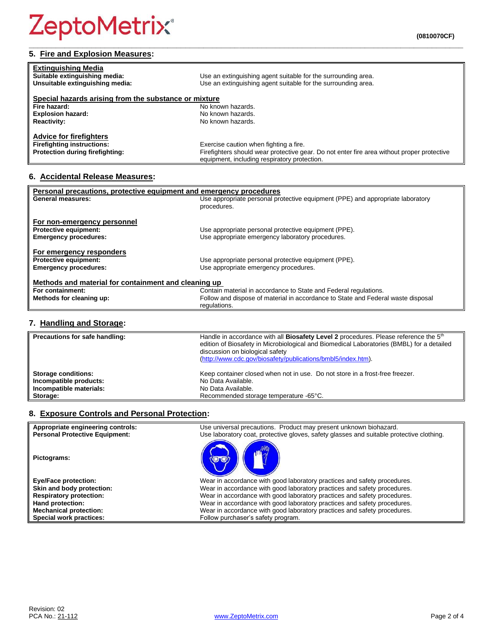| <b>Extinguishing Media</b><br>Suitable extinguishing media:<br>Unsuitable extinguishing media: | Use an extinguishing agent suitable for the surrounding area.<br>Use an extinguishing agent suitable for the surrounding area.             |
|------------------------------------------------------------------------------------------------|--------------------------------------------------------------------------------------------------------------------------------------------|
| Special hazards arising from the substance or mixture                                          |                                                                                                                                            |
| Fire hazard:                                                                                   | No known hazards.                                                                                                                          |
| <b>Explosion hazard:</b>                                                                       | No known hazards.                                                                                                                          |
| <b>Reactivity:</b>                                                                             | No known hazards.                                                                                                                          |
| <b>Advice for firefighters</b>                                                                 |                                                                                                                                            |
| <b>Firefighting instructions:</b>                                                              | Exercise caution when fighting a fire.                                                                                                     |
| Protection during firefighting:                                                                | Firefighters should wear protective gear. Do not enter fire area without proper protective<br>equipment, including respiratory protection. |

**\_\_\_\_\_\_\_\_\_\_\_\_\_\_\_\_\_\_\_\_\_\_\_\_\_\_\_\_\_\_\_\_\_\_\_\_\_\_\_\_\_\_\_\_\_\_\_\_\_\_\_\_\_\_\_\_\_\_\_\_\_\_\_\_\_\_\_\_\_\_\_\_\_\_\_\_\_\_\_\_\_\_\_\_\_\_\_\_\_\_\_\_\_\_\_\_\_**

### **6. Accidental Release Measures:**

| Personal precautions, protective equipment and emergency procedures |                                                                                  |
|---------------------------------------------------------------------|----------------------------------------------------------------------------------|
| <b>General measures:</b>                                            | Use appropriate personal protective equipment (PPE) and appropriate laboratory   |
|                                                                     | procedures.                                                                      |
|                                                                     |                                                                                  |
| For non-emergency personnel                                         |                                                                                  |
| <b>Protective equipment:</b>                                        | Use appropriate personal protective equipment (PPE).                             |
| <b>Emergency procedures:</b>                                        | Use appropriate emergency laboratory procedures.                                 |
|                                                                     |                                                                                  |
| For emergency responders                                            |                                                                                  |
| <b>Protective equipment:</b>                                        | Use appropriate personal protective equipment (PPE).                             |
| <b>Emergency procedures:</b>                                        | Use appropriate emergency procedures.                                            |
|                                                                     |                                                                                  |
| Methods and material for containment and cleaning up                |                                                                                  |
| For containment:                                                    | Contain material in accordance to State and Federal regulations.                 |
|                                                                     |                                                                                  |
| Methods for cleaning up:                                            | Follow and dispose of material in accordance to State and Federal waste disposal |
|                                                                     | regulations.                                                                     |

### **7. Handling and Storage:**

| Precautions for safe handling: | Handle in accordance with all <b>Biosafety Level 2</b> procedures. Please reference the 5 <sup>th</sup><br>edition of Biosafety in Microbiological and Biomedical Laboratories (BMBL) for a detailed<br>discussion on biological safety<br>(http://www.cdc.gov/biosafety/publications/bmbl5/index.htm). |
|--------------------------------|---------------------------------------------------------------------------------------------------------------------------------------------------------------------------------------------------------------------------------------------------------------------------------------------------------|
| <b>Storage conditions:</b>     | Keep container closed when not in use. Do not store in a frost-free freezer.                                                                                                                                                                                                                            |
| Incompatible products:         | No Data Available.                                                                                                                                                                                                                                                                                      |
| Incompatible materials:        | No Data Available.                                                                                                                                                                                                                                                                                      |
| Storage:                       | Recommended storage temperature -65°C.                                                                                                                                                                                                                                                                  |

### **8. Exposure Controls and Personal Protection:**

| Appropriate engineering controls:     | Use universal precautions. Product may present unknown biohazard.                        |
|---------------------------------------|------------------------------------------------------------------------------------------|
| <b>Personal Protective Equipment:</b> | Use laboratory coat, protective gloves, safety glasses and suitable protective clothing. |
| Pictograms:                           |                                                                                          |
| <b>Eye/Face protection:</b>           | Wear in accordance with good laboratory practices and safety procedures.                 |
| Skin and body protection:             | Wear in accordance with good laboratory practices and safety procedures.                 |
| <b>Respiratory protection:</b>        | Wear in accordance with good laboratory practices and safety procedures.                 |
| Hand protection:                      | Wear in accordance with good laboratory practices and safety procedures.                 |
| <b>Mechanical protection:</b>         | Wear in accordance with good laboratory practices and safety procedures.                 |
| Special work practices:               | Follow purchaser's safety program.                                                       |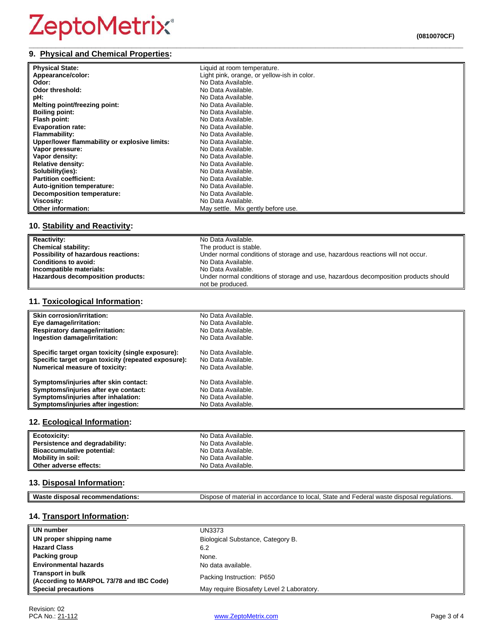| <b>Physical State:</b>                        | Liquid at room temperature.                 |
|-----------------------------------------------|---------------------------------------------|
| Appearance/color:                             | Light pink, orange, or yellow-ish in color. |
| Odor:                                         | No Data Available.                          |
| Odor threshold:                               | No Data Available.                          |
| pH:                                           | No Data Available.                          |
| Melting point/freezing point:                 | No Data Available.                          |
| <b>Boiling point:</b>                         | No Data Available.                          |
| Flash point:                                  | No Data Available.                          |
| <b>Evaporation rate:</b>                      | No Data Available.                          |
| <b>Flammability:</b>                          | No Data Available.                          |
| Upper/lower flammability or explosive limits: | No Data Available.                          |
| Vapor pressure:                               | No Data Available.                          |
| Vapor density:                                | No Data Available.                          |
| <b>Relative density:</b>                      | No Data Available.                          |
| Solubility(ies):                              | No Data Available.                          |
| <b>Partition coefficient:</b>                 | No Data Available.                          |
| Auto-ignition temperature:                    | No Data Available.                          |
| Decomposition temperature:                    | No Data Available.                          |
| Viscosity:                                    | No Data Available.                          |
| <b>Other information:</b>                     | May settle. Mix gently before use.          |

### **10. Stability and Reactivity:**

| <b>Reactivity:</b>                  | No Data Available.                                                                  |
|-------------------------------------|-------------------------------------------------------------------------------------|
| <b>Chemical stability:</b>          | The product is stable.                                                              |
| Possibility of hazardous reactions: | Under normal conditions of storage and use, hazardous reactions will not occur.     |
| <b>Conditions to avoid:</b>         | No Data Available.                                                                  |
| Incompatible materials:             | No Data Available.                                                                  |
| Hazardous decomposition products:   | Under normal conditions of storage and use, hazardous decomposition products should |
|                                     | not be produced.                                                                    |

### **11. Toxicological Information:**

| Skin corrosion/irritation:                          | No Data Available. |
|-----------------------------------------------------|--------------------|
| Eye damage/irritation:                              | No Data Available. |
| <b>Respiratory damage/irritation:</b>               | No Data Available. |
| Ingestion damage/irritation:                        | No Data Available. |
| Specific target organ toxicity (single exposure):   | No Data Available. |
| Specific target organ toxicity (repeated exposure): | No Data Available. |
| <b>Numerical measure of toxicity:</b>               | No Data Available. |
| Symptoms/injuries after skin contact:               | No Data Available. |
| Symptoms/injuries after eye contact:                | No Data Available. |
| Symptoms/injuries after inhalation:                 | No Data Available. |
| Symptoms/injuries after ingestion:                  | No Data Available. |

### **12. Ecological Information:**

| Ecotoxicity:                   | No Data Available. |
|--------------------------------|--------------------|
| Persistence and degradability: | No Data Available. |
| Bioaccumulative potential:     | No Data Available. |
| <b>Mobility in soil:</b>       | No Data Available. |
| Other adverse effects:         | No Data Available. |

### **13. Disposal Information:**

| Was<br>- | $C+$<br>.<br>nnd<br>)ısr<br>$\sim$ $\sim$<br>nn+,<br><br>$\overline{\phantom{a}}$<br><br>--<br>'edulatio.<br>oldit<br>anu.<br>รเม<br>.<br>ا 1-<br>.<br>י הד<br>aan<br>- - - - - -<br>u u r<br>.<br>. |
|----------|------------------------------------------------------------------------------------------------------------------------------------------------------------------------------------------------------|

### **14. Transport Information:**

| UN number                                                            | UN3373                                    |
|----------------------------------------------------------------------|-------------------------------------------|
| UN proper shipping name                                              | Biological Substance, Category B.         |
| <b>Hazard Class</b>                                                  | 6.2                                       |
| Packing group                                                        | None.                                     |
| <b>Environmental hazards</b>                                         | No data available.                        |
| <b>Transport in bulk</b><br>(According to MARPOL 73/78 and IBC Code) | Packing Instruction: P650                 |
| <b>Special precautions</b>                                           | May require Biosafety Level 2 Laboratory. |